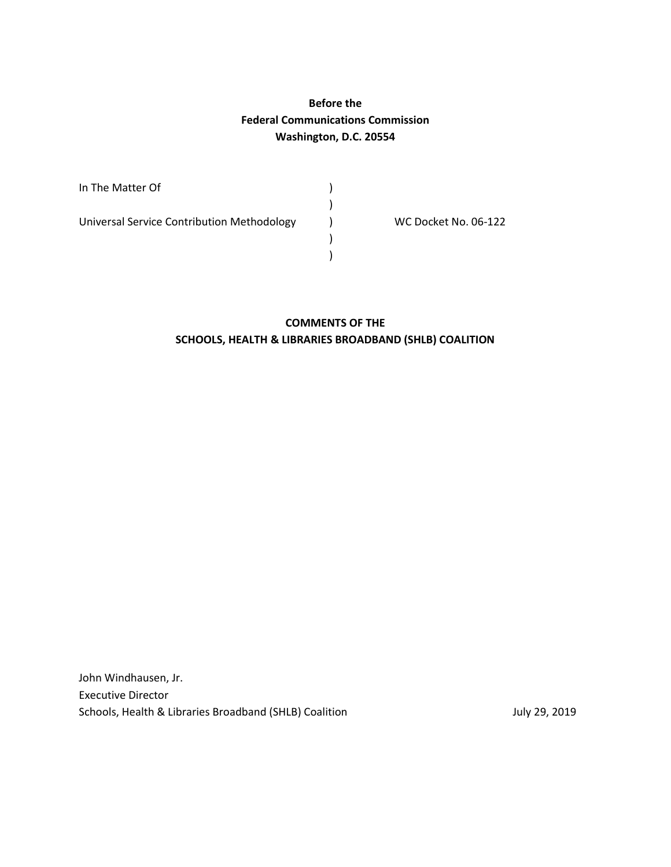## **Before the Federal Communications Commission Washington, D.C. 20554**

)

 ) )

In The Matter Of  $\qquad \qquad$  )

Universal Service Contribution Methodology (a) WC Docket No. 06-122

#### **COMMENTS OF THE SCHOOLS, HEALTH & LIBRARIES BROADBAND (SHLB) COALITION**

John Windhausen, Jr. Executive Director Schools, Health & Libraries Broadband (SHLB) Coalition July 29, 2019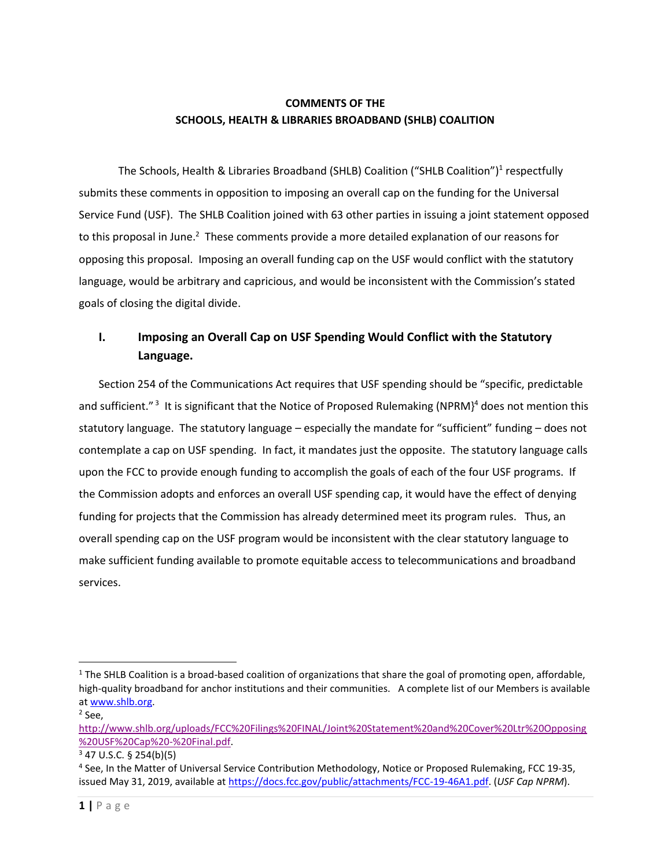#### **COMMENTS OF THE SCHOOLS, HEALTH & LIBRARIES BROADBAND (SHLB) COALITION**

The Schools, Health & Libraries Broadband (SHLB) Coalition ("SHLB Coalition")<sup>1</sup> respectfully submits these comments in opposition to imposing an overall cap on the funding for the Universal Service Fund (USF). The SHLB Coalition joined with 63 other parties in issuing a joint statement opposed to this proposal in June.<sup>2</sup> These comments provide a more detailed explanation of our reasons for opposing this proposal. Imposing an overall funding cap on the USF would conflict with the statutory language, would be arbitrary and capricious, and would be inconsistent with the Commission's stated goals of closing the digital divide.

# **I. Imposing an Overall Cap on USF Spending Would Conflict with the Statutory Language.**

Section 254 of the Communications Act requires that USF spending should be "specific, predictable and sufficient."<sup>3</sup> It is significant that the Notice of Proposed Rulemaking (NPRM)<sup>4</sup> does not mention this statutory language. The statutory language – especially the mandate for "sufficient" funding – does not contemplate a cap on USF spending. In fact, it mandates just the opposite. The statutory language calls upon the FCC to provide enough funding to accomplish the goals of each of the four USF programs. If the Commission adopts and enforces an overall USF spending cap, it would have the effect of denying funding for projects that the Commission has already determined meet its program rules. Thus, an overall spending cap on the USF program would be inconsistent with the clear statutory language to make sufficient funding available to promote equitable access to telecommunications and broadband services.

 $1$  The SHLB Coalition is a broad-based coalition of organizations that share the goal of promoting open, affordable, high-quality broadband for anchor institutions and their communities. A complete list of our Members is available a[t www.shlb.org.](http://www.shlb.org/)

<sup>2</sup> See,

[http://www.shlb.org/uploads/FCC%20Filings%20FINAL/Joint%20Statement%20and%20Cover%20Ltr%20Opposing](http://www.shlb.org/uploads/FCC%20Filings%20FINAL/Joint%20Statement%20and%20Cover%20Ltr%20Opposing%20USF%20Cap%20-%20Final.pdf) [%20USF%20Cap%20-%20Final.pdf.](http://www.shlb.org/uploads/FCC%20Filings%20FINAL/Joint%20Statement%20and%20Cover%20Ltr%20Opposing%20USF%20Cap%20-%20Final.pdf)

 $3$  47 U.S.C. § 254(b)(5)

<sup>&</sup>lt;sup>4</sup> See, In the Matter of Universal Service Contribution Methodology, Notice or Proposed Rulemaking, FCC 19-35, issued May 31, 2019, available a[t https://docs.fcc.gov/public/attachments/FCC-19-46A1.pdf.](https://docs.fcc.gov/public/attachments/FCC-19-46A1.pdf) (*USF Cap NPRM*).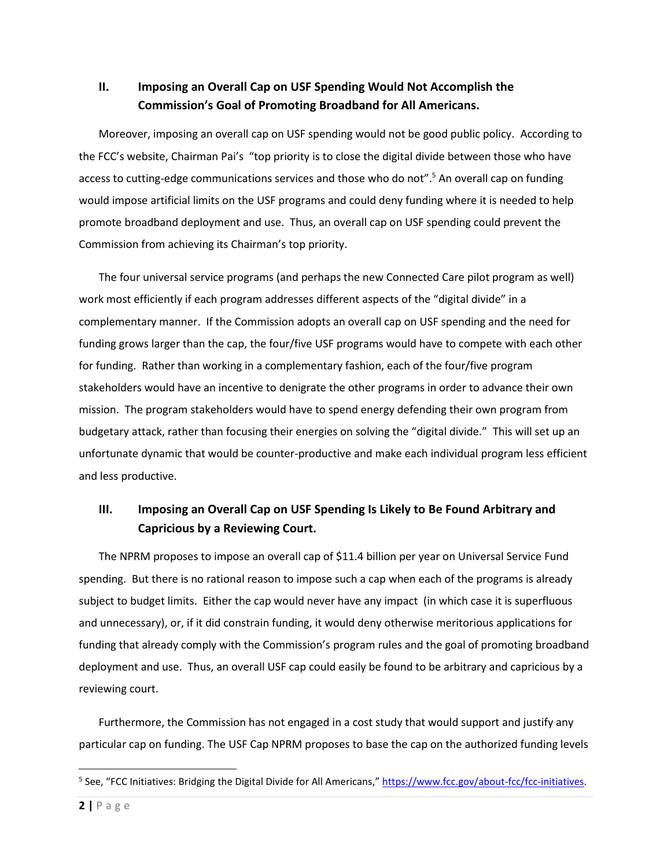## **II. Imposing an Overall Cap on USF Spending Would Not Accomplish the Commission's Goal of Promoting Broadband for All Americans.**

Moreover, imposing an overall cap on USF spending would not be good public policy. According to the FCC's website, Chairman Pai's "top priority is to close the digital divide between those who have access to cutting-edge communications services and those who do not". <sup>5</sup> An overall cap on funding would impose artificial limits on the USF programs and could deny funding where it is needed to help promote broadband deployment and use. Thus, an overall cap on USF spending could prevent the Commission from achieving its Chairman's top priority.

The four universal service programs (and perhaps the new Connected Care pilot program as well) work most efficiently if each program addresses different aspects of the "digital divide" in a complementary manner. If the Commission adopts an overall cap on USF spending and the need for funding grows larger than the cap, the four/five USF programs would have to compete with each other for funding. Rather than working in a complementary fashion, each of the four/five program stakeholders would have an incentive to denigrate the other programs in order to advance their own mission. The program stakeholders would have to spend energy defending their own program from budgetary attack, rather than focusing their energies on solving the "digital divide." This will set up an unfortunate dynamic that would be counter-productive and make each individual program less efficient and less productive.

## **III. Imposing an Overall Cap on USF Spending Is Likely to Be Found Arbitrary and Capricious by a Reviewing Court.**

The NPRM proposes to impose an overall cap of \$11.4 billion per year on Universal Service Fund spending. But there is no rational reason to impose such a cap when each of the programs is already subject to budget limits. Either the cap would never have any impact (in which case it is superfluous and unnecessary), or, if it did constrain funding, it would deny otherwise meritorious applications for funding that already comply with the Commission's program rules and the goal of promoting broadband deployment and use. Thus, an overall USF cap could easily be found to be arbitrary and capricious by a reviewing court.

Furthermore, the Commission has not engaged in a cost study that would support and justify any particular cap on funding. The USF Cap NPRM proposes to base the cap on the authorized funding levels

<sup>&</sup>lt;sup>5</sup> See, "FCC Initiatives: Bridging the Digital Divide for All Americans," [https://www.fcc.gov/about-fcc/fcc-initiatives.](https://www.fcc.gov/about-fcc/fcc-initiatives)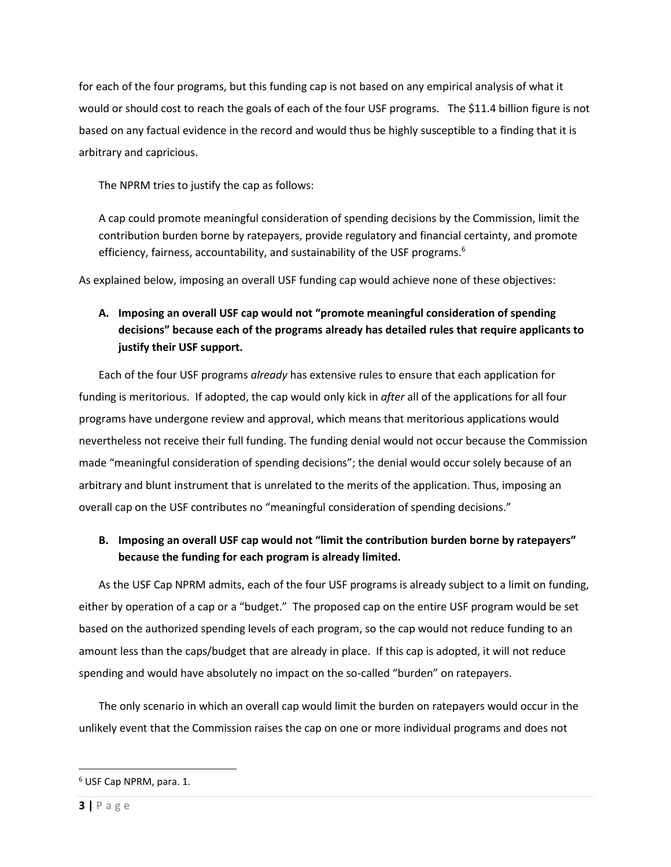for each of the four programs, but this funding cap is not based on any empirical analysis of what it would or should cost to reach the goals of each of the four USF programs. The \$11.4 billion figure is not based on any factual evidence in the record and would thus be highly susceptible to a finding that it is arbitrary and capricious.

The NPRM tries to justify the cap as follows:

A cap could promote meaningful consideration of spending decisions by the Commission, limit the contribution burden borne by ratepayers, provide regulatory and financial certainty, and promote efficiency, fairness, accountability, and sustainability of the USF programs.<sup>6</sup>

As explained below, imposing an overall USF funding cap would achieve none of these objectives:

## **A. Imposing an overall USF cap would not "promote meaningful consideration of spending decisions" because each of the programs already has detailed rules that require applicants to justify their USF support.**

Each of the four USF programs *already* has extensive rules to ensure that each application for funding is meritorious. If adopted, the cap would only kick in *after* all of the applications for all four programs have undergone review and approval, which means that meritorious applications would nevertheless not receive their full funding. The funding denial would not occur because the Commission made "meaningful consideration of spending decisions"; the denial would occur solely because of an arbitrary and blunt instrument that is unrelated to the merits of the application. Thus, imposing an overall cap on the USF contributes no "meaningful consideration of spending decisions."

#### **B. Imposing an overall USF cap would not "limit the contribution burden borne by ratepayers" because the funding for each program is already limited.**

As the USF Cap NPRM admits, each of the four USF programs is already subject to a limit on funding, either by operation of a cap or a "budget." The proposed cap on the entire USF program would be set based on the authorized spending levels of each program, so the cap would not reduce funding to an amount less than the caps/budget that are already in place. If this cap is adopted, it will not reduce spending and would have absolutely no impact on the so-called "burden" on ratepayers.

The only scenario in which an overall cap would limit the burden on ratepayers would occur in the unlikely event that the Commission raises the cap on one or more individual programs and does not

<sup>6</sup> USF Cap NPRM, para. 1.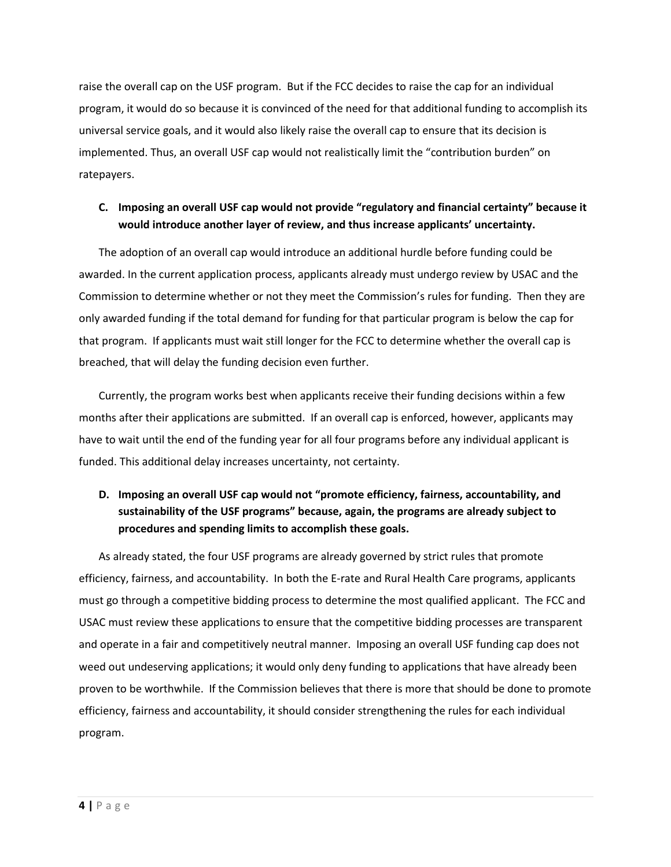raise the overall cap on the USF program. But if the FCC decides to raise the cap for an individual program, it would do so because it is convinced of the need for that additional funding to accomplish its universal service goals, and it would also likely raise the overall cap to ensure that its decision is implemented. Thus, an overall USF cap would not realistically limit the "contribution burden" on ratepayers.

#### **C. Imposing an overall USF cap would not provide "regulatory and financial certainty" because it would introduce another layer of review, and thus increase applicants' uncertainty.**

The adoption of an overall cap would introduce an additional hurdle before funding could be awarded. In the current application process, applicants already must undergo review by USAC and the Commission to determine whether or not they meet the Commission's rules for funding. Then they are only awarded funding if the total demand for funding for that particular program is below the cap for that program. If applicants must wait still longer for the FCC to determine whether the overall cap is breached, that will delay the funding decision even further.

Currently, the program works best when applicants receive their funding decisions within a few months after their applications are submitted. If an overall cap is enforced, however, applicants may have to wait until the end of the funding year for all four programs before any individual applicant is funded. This additional delay increases uncertainty, not certainty.

# **D. Imposing an overall USF cap would not "promote efficiency, fairness, accountability, and sustainability of the USF programs" because, again, the programs are already subject to procedures and spending limits to accomplish these goals.**

As already stated, the four USF programs are already governed by strict rules that promote efficiency, fairness, and accountability. In both the E-rate and Rural Health Care programs, applicants must go through a competitive bidding process to determine the most qualified applicant. The FCC and USAC must review these applications to ensure that the competitive bidding processes are transparent and operate in a fair and competitively neutral manner. Imposing an overall USF funding cap does not weed out undeserving applications; it would only deny funding to applications that have already been proven to be worthwhile. If the Commission believes that there is more that should be done to promote efficiency, fairness and accountability, it should consider strengthening the rules for each individual program.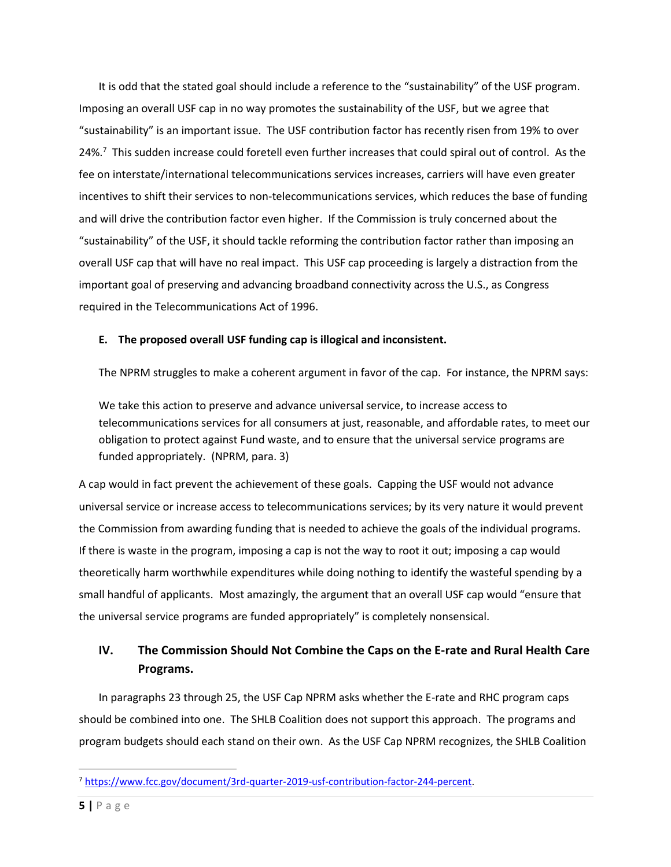It is odd that the stated goal should include a reference to the "sustainability" of the USF program. Imposing an overall USF cap in no way promotes the sustainability of the USF, but we agree that "sustainability" is an important issue. The USF contribution factor has recently risen from 19% to over 24%.<sup>7</sup> This sudden increase could foretell even further increases that could spiral out of control. As the fee on interstate/international telecommunications services increases, carriers will have even greater incentives to shift their services to non-telecommunications services, which reduces the base of funding and will drive the contribution factor even higher. If the Commission is truly concerned about the "sustainability" of the USF, it should tackle reforming the contribution factor rather than imposing an overall USF cap that will have no real impact. This USF cap proceeding is largely a distraction from the important goal of preserving and advancing broadband connectivity across the U.S., as Congress required in the Telecommunications Act of 1996.

#### **E. The proposed overall USF funding cap is illogical and inconsistent.**

The NPRM struggles to make a coherent argument in favor of the cap. For instance, the NPRM says:

We take this action to preserve and advance universal service, to increase access to telecommunications services for all consumers at just, reasonable, and affordable rates, to meet our obligation to protect against Fund waste, and to ensure that the universal service programs are funded appropriately. (NPRM, para. 3)

A cap would in fact prevent the achievement of these goals. Capping the USF would not advance universal service or increase access to telecommunications services; by its very nature it would prevent the Commission from awarding funding that is needed to achieve the goals of the individual programs. If there is waste in the program, imposing a cap is not the way to root it out; imposing a cap would theoretically harm worthwhile expenditures while doing nothing to identify the wasteful spending by a small handful of applicants. Most amazingly, the argument that an overall USF cap would "ensure that the universal service programs are funded appropriately" is completely nonsensical.

## **IV. The Commission Should Not Combine the Caps on the E-rate and Rural Health Care Programs.**

In paragraphs 23 through 25, the USF Cap NPRM asks whether the E-rate and RHC program caps should be combined into one. The SHLB Coalition does not support this approach. The programs and program budgets should each stand on their own. As the USF Cap NPRM recognizes, the SHLB Coalition

<sup>7</sup> [https://www.fcc.gov/document/3rd-quarter-2019-usf-contribution-factor-244-percent.](https://www.fcc.gov/document/3rd-quarter-2019-usf-contribution-factor-244-percent)